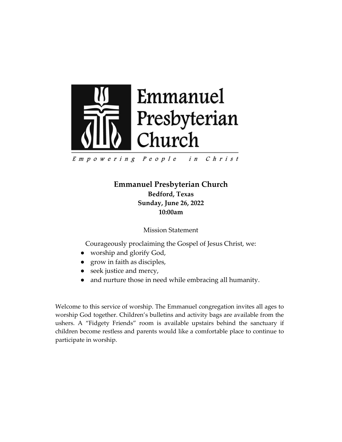

Empowering People in Christ

> **Emmanuel Presbyterian Church Bedford, Texas Sunday, June 26, 2022 10:00am**

> > Mission Statement

Courageously proclaiming the Gospel of Jesus Christ, we:

- worship and glorify God,
- grow in faith as disciples,
- seek justice and mercy,
- and nurture those in need while embracing all humanity.

Welcome to this service of worship. The Emmanuel congregation invites all ages to worship God together. Children's bulletins and activity bags are available from the ushers. A "Fidgety Friends" room is available upstairs behind the sanctuary if children become restless and parents would like a comfortable place to continue to participate in worship.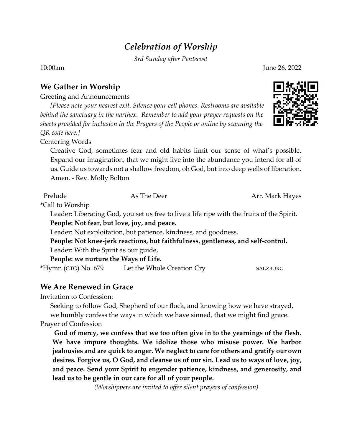# *Celebration of Worship*

*3rd Sunday after Pentecost*

10:00am June 26, 2022

### **We Gather in Worship**

Greeting and Announcements

*[Please note your nearest exit. Silence your cell phones. Restrooms are available behind the sanctuary in the narthex. Remember to add your prayer requests on the sheets provided for inclusion in the Prayers of the People or online by scanning the QR code here.]*

Centering Words

Creative God, sometimes fear and old habits limit our sense of what's possible. Expand our imagination, that we might live into the abundance you intend for all of us. Guide us towards not a shallow freedom, oh God, but into deep wells of liberation. Amen. - Rev. Molly Bolton

Prelude As The Deer Arr. Mark Hayes

\*Call to Worship

Leader: Liberating God, you set us free to live a life ripe with the fruits of the Spirit. **People: Not fear, but love, joy, and peace.**

Leader: Not exploitation, but patience, kindness, and goodness.

**People: Not knee-jerk reactions, but faithfulness, gentleness, and self-control.** Leader: With the Spirit as our guide,

**People: we nurture the Ways of Life.**

\*Hymn (GTG) No. 679 Let the Whole Creation Cry SALZBURG

#### **We Are Renewed in Grace**

Invitation to Confession:

Seeking to follow God, Shepherd of our flock, and knowing how we have strayed, we humbly confess the ways in which we have sinned, that we might find grace. Prayer of Confession

**God of mercy, we confess that we too often give in to the yearnings of the flesh. We have impure thoughts. We idolize those who misuse power. We harbor jealousies and are quick to anger. We neglect to care for others and gratify our own desires. Forgive us, O God, and cleanse us of our sin. Lead us to ways of love, joy, and peace. Send your Spirit to engender patience, kindness, and generosity, and lead us to be gentle in our care for all of your people.**

*(Worshippers are invited to offer silent prayers of confession)*

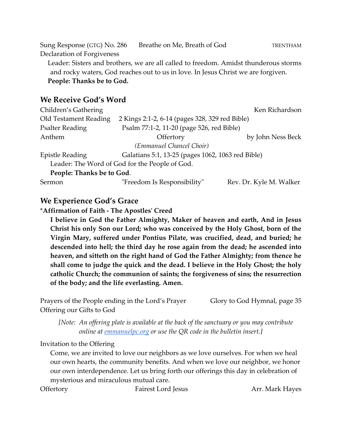Sung Response (GTG) No. 286 Breathe on Me, Breath of God TRENTHAM Declaration of Forgiveness

Leader: Sisters and brothers, we are all called to freedom. Amidst thunderous storms and rocky waters, God reaches out to us in love. In Jesus Christ we are forgiven. **People: Thanks be to God.**

#### **We Receive God's Word**

| Children's Gathering      |                                                   | Ken Richardson          |
|---------------------------|---------------------------------------------------|-------------------------|
| Old Testament Reading     | 2 Kings 2:1-2, 6-14 (pages 328, 329 red Bible)    |                         |
| <b>Psalter Reading</b>    | Psalm 77:1-2, 11-20 (page 526, red Bible)         |                         |
| Anthem                    | Offertory                                         | by John Ness Beck       |
|                           | (Emmanuel Chancel Choir)                          |                         |
| <b>Epistle Reading</b>    | Galatians 5:1, 13-25 (pages 1062, 1063 red Bible) |                         |
|                           | Leader: The Word of God for the People of God.    |                         |
| People: Thanks be to God. |                                                   |                         |
| Sermon                    | "Freedom Is Responsibility"                       | Rev. Dr. Kyle M. Walker |

# **We Experience God's Grace**

\***Affirmation of Faith - The Apostles' Creed** 

**I believe in God the Father Almighty, Maker of heaven and earth, And in Jesus Christ his only Son our Lord; who was conceived by the Holy Ghost, born of the Virgin Mary, suffered under Pontius Pilate, was crucified, dead, and buried; he descended into hell; the third day he rose again from the dead; he ascended into heaven, and sitteth on the right hand of God the Father Almighty; from thence he shall come to judge the quick and the dead. I believe in the Holy Ghost; the holy catholic Church; the communion of saints; the forgiveness of sins; the resurrection of the body; and the life everlasting. Amen.** 

Prayers of the People ending in the Lord's Prayer Glory to God Hymnal, page 35 Offering our Gifts to God

*[Note: An offering plate is available at the back of the sanctuary or you may contribute online at [emmanuelpc.org](https://emmanuelpc.org/) or use the QR code in the bulletin insert.]*

Invitation to the Offering

Come, we are invited to love our neighbors as we love ourselves. For when we heal our own hearts, the community benefits. And when we love our neighbor, we honor our own interdependence. Let us bring forth our offerings this day in celebration of mysterious and miraculous mutual care.

Offertory Fairest Lord Jesus Arr. Mark Hayes